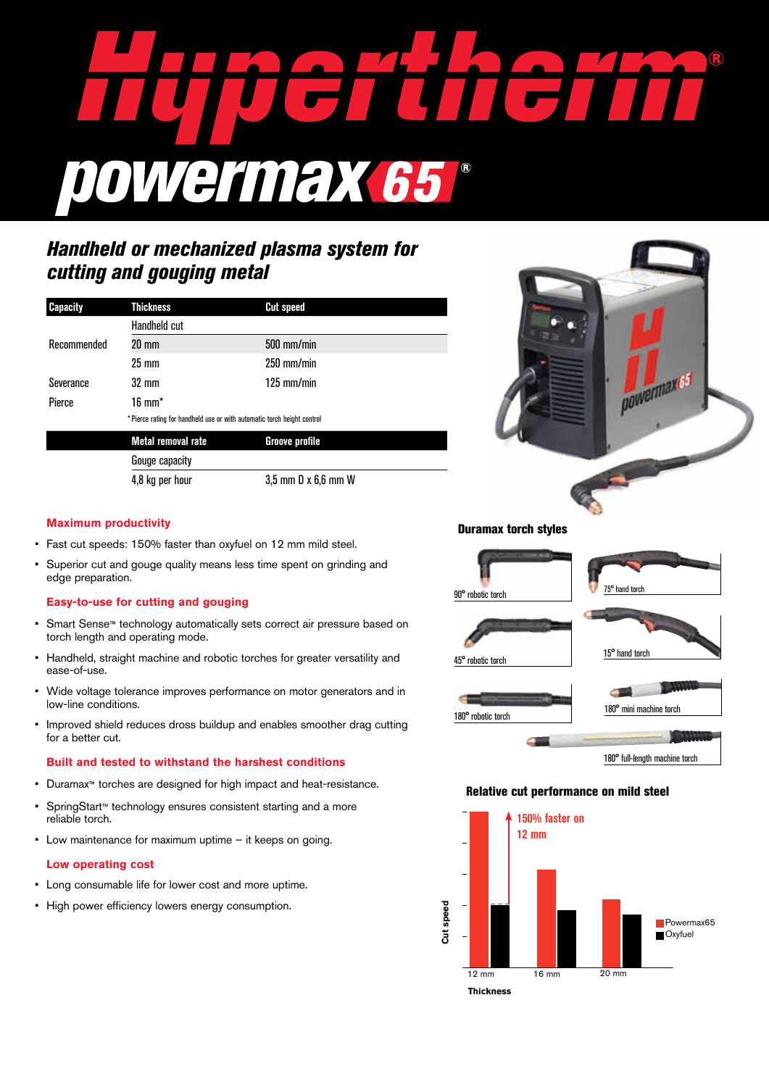

# *Handheld or mechanized plasma system for cutting and gouging metal*

| <b>Capacity</b> | <b>Thickness</b>                                                        | <b>Cut speed</b>      |  |  |
|-----------------|-------------------------------------------------------------------------|-----------------------|--|--|
|                 | Handheld cut                                                            |                       |  |  |
| Recommended     | 20 mm                                                                   | 500 mm/min            |  |  |
|                 | $25 \text{ mm}$                                                         | $250$ mm/min          |  |  |
| Severance       | 32 mm                                                                   | $125$ mm/min          |  |  |
| Pierce          | $16 \text{ mm}^*$                                                       |                       |  |  |
|                 | * Pierce rating for handheld use or with automatic torch height control |                       |  |  |
|                 | Metal removal rate                                                      | <b>Groove profile</b> |  |  |

Gouge capacity 4,8 kg per hour 3,5 mm D x 6,6 mm W



## **Maximum productivity**

- • Fast cut speeds: 150% faster than oxyfuel on 12 mm mild steel.
- Superior cut and gouge quality means less time spent on grinding and edge preparation.

## **Easy-to-use for cutting and gouging**

- • Smart Sense™ technology automatically sets correct air pressure based on torch length and operating mode.
- • Handheld, straight machine and robotic torches for greater versatility and ease-of-use.
- Wide voltage tolerance improves performance on motor generators and in low-line conditions.
- • Improved shield reduces dross buildup and enables smoother drag cutting for a better cut.

#### **Built and tested to withstand the harshest conditions**

- • Duramax™ torches are designed for high impact and heat-resistance.
- • SpringStart™ technology ensures consistent starting and a more reliable torch.
- • Low maintenance for maximum uptime it keeps on going.

#### **Low operating cost**

- Long consumable life for lower cost and more uptime.
- • High power efficiency lowers energy consumption.

#### Duramax torch styles



#### Relative cut performance on mild steel